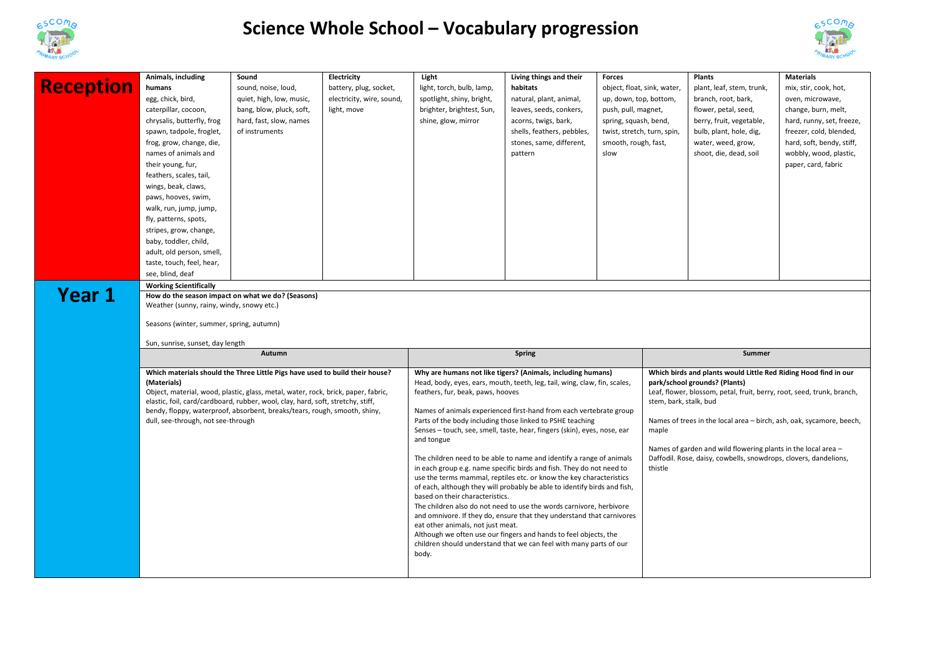

## **Science Whole School – Vocabulary progression**



| <b>Reception</b><br>Year 1 | Animals, including<br>Living things and their<br>Electricity<br>Light<br><b>Plants</b><br><b>Materials</b><br>Sound<br>Forces<br>humans<br>sound, noise, loud,<br>battery, plug, socket,<br>light, torch, bulb, lamp,<br>habitats<br>object, float, sink, water,<br>plant, leaf, stem, trunk,<br>egg, chick, bird,<br>quiet, high, low, music,<br>electricity, wire, sound,<br>spotlight, shiny, bright,<br>natural, plant, animal,<br>up, down, top, bottom,<br>branch, root, bark,<br>caterpillar, cocoon,<br>bang, blow, pluck, soft,<br>light, move<br>brighter, brightest, Sun,<br>leaves, seeds, conkers,<br>push, pull, magnet,<br>flower, petal, seed,<br>chrysalis, butterfly, frog<br>hard, fast, slow, names<br>shine, glow, mirror<br>acorns, twigs, bark,<br>spring, squash, bend,<br>berry, fruit, vegetable,<br>of instruments<br>shells, feathers, pebbles,<br>spawn, tadpole, froglet,<br>twist, stretch, turn, spin,<br>bulb, plant, hole, dig,<br>frog, grow, change, die,<br>stones, same, different,<br>smooth, rough, fast,<br>water, weed, grow,<br>names of animals and<br>slow<br>shoot, die, dead, soil<br>pattern<br>their young, fur,<br>feathers, scales, tail,<br>wings, beak, claws,<br>paws, hooves, swim,<br>walk, run, jump, jump,<br>fly, patterns, spots,<br>stripes, grow, change,<br>baby, toddler, child,<br>adult, old person, smell,<br>taste, touch, feel, hear,<br>see, blind, deaf<br><b>Working Scientifically</b><br>How do the season impact on what we do? (Seasons)<br>Weather (sunny, rainy, windy, snowy etc.) |  |  |                                                                                                                                                                                                                                                                                                                                                                                                                                                                                                                                                                                                                                                                                                                                                                                                                                                                                                                                                                                                                                                                                          |  |  | mix, stir, cook, hot,<br>oven, microwave,<br>change, burn, melt,<br>hard, runny, set, freeze,<br>freezer, cold, blended,<br>hard, soft, bendy, stiff,<br>wobbly, wood, plastic,<br>paper, card, fabric                                                                                                                                                                                                                                |        |  |
|----------------------------|-------------------------------------------------------------------------------------------------------------------------------------------------------------------------------------------------------------------------------------------------------------------------------------------------------------------------------------------------------------------------------------------------------------------------------------------------------------------------------------------------------------------------------------------------------------------------------------------------------------------------------------------------------------------------------------------------------------------------------------------------------------------------------------------------------------------------------------------------------------------------------------------------------------------------------------------------------------------------------------------------------------------------------------------------------------------------------------------------------------------------------------------------------------------------------------------------------------------------------------------------------------------------------------------------------------------------------------------------------------------------------------------------------------------------------------------------------------------------------------------------------------------------------------------------------------------|--|--|------------------------------------------------------------------------------------------------------------------------------------------------------------------------------------------------------------------------------------------------------------------------------------------------------------------------------------------------------------------------------------------------------------------------------------------------------------------------------------------------------------------------------------------------------------------------------------------------------------------------------------------------------------------------------------------------------------------------------------------------------------------------------------------------------------------------------------------------------------------------------------------------------------------------------------------------------------------------------------------------------------------------------------------------------------------------------------------|--|--|---------------------------------------------------------------------------------------------------------------------------------------------------------------------------------------------------------------------------------------------------------------------------------------------------------------------------------------------------------------------------------------------------------------------------------------|--------|--|
|                            | Seasons (winter, summer, spring, autumn)<br>Sun, sunrise, sunset, day length<br>Autumn<br><b>Spring</b>                                                                                                                                                                                                                                                                                                                                                                                                                                                                                                                                                                                                                                                                                                                                                                                                                                                                                                                                                                                                                                                                                                                                                                                                                                                                                                                                                                                                                                                           |  |  |                                                                                                                                                                                                                                                                                                                                                                                                                                                                                                                                                                                                                                                                                                                                                                                                                                                                                                                                                                                                                                                                                          |  |  |                                                                                                                                                                                                                                                                                                                                                                                                                                       | Summer |  |
|                            | Which materials should the Three Little Pigs have used to build their house?<br>(Materials)<br>Object, material, wood, plastic, glass, metal, water, rock, brick, paper, fabric,<br>elastic, foil, card/cardboard, rubber, wool, clay, hard, soft, stretchy, stiff,<br>bendy, floppy, waterproof, absorbent, breaks/tears, rough, smooth, shiny,<br>dull, see-through, not see-through                                                                                                                                                                                                                                                                                                                                                                                                                                                                                                                                                                                                                                                                                                                                                                                                                                                                                                                                                                                                                                                                                                                                                                            |  |  | Why are humans not like tigers? (Animals, including humans)<br>Head, body, eyes, ears, mouth, teeth, leg, tail, wing, claw, fin, scales,<br>feathers, fur, beak, paws, hooves<br>Names of animals experienced first-hand from each vertebrate group<br>Parts of the body including those linked to PSHE teaching<br>Senses - touch, see, smell, taste, hear, fingers (skin), eyes, nose, ear<br>and tongue<br>The children need to be able to name and identify a range of animals<br>in each group e.g. name specific birds and fish. They do not need to<br>use the terms mammal, reptiles etc. or know the key characteristics<br>of each, although they will probably be able to identify birds and fish,<br>based on their characteristics.<br>The children also do not need to use the words carnivore, herbivore<br>and omnivore. If they do, ensure that they understand that carnivores<br>eat other animals, not just meat.<br>Although we often use our fingers and hands to feel objects, the<br>children should understand that we can feel with many parts of our<br>body. |  |  | Which birds and plants would Little Red Riding Hood find in our<br>park/school grounds? (Plants)<br>Leaf, flower, blossom, petal, fruit, berry, root, seed, trunk, branch,<br>stem, bark, stalk, bud<br>Names of trees in the local area - birch, ash, oak, sycamore, beech,<br>maple<br>Names of garden and wild flowering plants in the local area -<br>Daffodil. Rose, daisy, cowbells, snowdrops, clovers, dandelions,<br>thistle |        |  |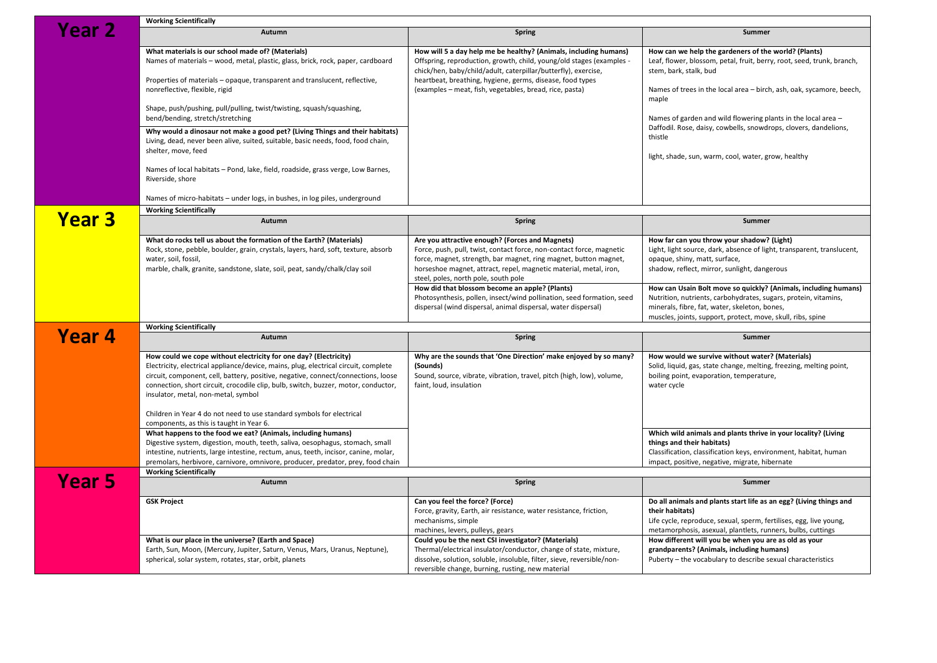|                   | <b>Working Scientifically</b>                                                                                                                                                                                                                                                                                                                                             |                                                                                                                                                                                                                                                                                                          |                                                                                                                                                                                                                                                    |  |  |  |  |  |
|-------------------|---------------------------------------------------------------------------------------------------------------------------------------------------------------------------------------------------------------------------------------------------------------------------------------------------------------------------------------------------------------------------|----------------------------------------------------------------------------------------------------------------------------------------------------------------------------------------------------------------------------------------------------------------------------------------------------------|----------------------------------------------------------------------------------------------------------------------------------------------------------------------------------------------------------------------------------------------------|--|--|--|--|--|
| Year <sub>2</sub> | Autumn                                                                                                                                                                                                                                                                                                                                                                    | <b>Spring</b>                                                                                                                                                                                                                                                                                            | Summer                                                                                                                                                                                                                                             |  |  |  |  |  |
|                   | What materials is our school made of? (Materials)<br>Names of materials - wood, metal, plastic, glass, brick, rock, paper, cardboard                                                                                                                                                                                                                                      | How will 5 a day help me be healthy? (Animals, including humans)<br>Offspring, reproduction, growth, child, young/old stages (examples -<br>chick/hen, baby/child/adult, caterpillar/butterfly), exercise,                                                                                               | How can we help the gardeners of the world? (Plants)<br>Leaf, flower, blossom, petal, fruit, berry, root, seed, trunk, branch,<br>stem, bark, stalk, bud<br>Names of trees in the local area - birch, ash, oak, sycamore, beech,<br>maple          |  |  |  |  |  |
|                   | Properties of materials - opaque, transparent and translucent, reflective,<br>nonreflective, flexible, rigid                                                                                                                                                                                                                                                              | heartbeat, breathing, hygiene, germs, disease, food types<br>(examples – meat, fish, vegetables, bread, rice, pasta)                                                                                                                                                                                     |                                                                                                                                                                                                                                                    |  |  |  |  |  |
|                   | Shape, push/pushing, pull/pulling, twist/twisting, squash/squashing,<br>bend/bending, stretch/stretching                                                                                                                                                                                                                                                                  |                                                                                                                                                                                                                                                                                                          | Names of garden and wild flowering plants in the local area -<br>Daffodil. Rose, daisy, cowbells, snowdrops, clovers, dandelions,<br>thistle<br>light, shade, sun, warm, cool, water, grow, healthy                                                |  |  |  |  |  |
|                   | Why would a dinosaur not make a good pet? (Living Things and their habitats)<br>Living, dead, never been alive, suited, suitable, basic needs, food, food chain,<br>shelter, move, feed                                                                                                                                                                                   |                                                                                                                                                                                                                                                                                                          |                                                                                                                                                                                                                                                    |  |  |  |  |  |
|                   | Names of local habitats - Pond, lake, field, roadside, grass verge, Low Barnes,<br>Riverside, shore                                                                                                                                                                                                                                                                       |                                                                                                                                                                                                                                                                                                          |                                                                                                                                                                                                                                                    |  |  |  |  |  |
|                   | Names of micro-habitats - under logs, in bushes, in log piles, underground                                                                                                                                                                                                                                                                                                |                                                                                                                                                                                                                                                                                                          |                                                                                                                                                                                                                                                    |  |  |  |  |  |
|                   | <b>Working Scientifically</b>                                                                                                                                                                                                                                                                                                                                             |                                                                                                                                                                                                                                                                                                          |                                                                                                                                                                                                                                                    |  |  |  |  |  |
| <b>Year 3</b>     | Autumn                                                                                                                                                                                                                                                                                                                                                                    | <b>Spring</b>                                                                                                                                                                                                                                                                                            | <b>Summer</b>                                                                                                                                                                                                                                      |  |  |  |  |  |
|                   | What do rocks tell us about the formation of the Earth? (Materials)<br>Rock, stone, pebble, boulder, grain, crystals, layers, hard, soft, texture, absorb<br>water, soil, fossil,<br>marble, chalk, granite, sandstone, slate, soil, peat, sandy/chalk/clay soil                                                                                                          | Are you attractive enough? (Forces and Magnets)<br>Force, push, pull, twist, contact force, non-contact force, magnetic<br>force, magnet, strength, bar magnet, ring magnet, button magnet,<br>horseshoe magnet, attract, repel, magnetic material, metal, iron,<br>steel, poles, north pole, south pole | How far can you throw your shadow? (Light)<br>Light, light source, dark, absence of light, transparent, translucent,<br>opaque, shiny, matt, surface,<br>shadow, reflect, mirror, sunlight, dangerous                                              |  |  |  |  |  |
|                   |                                                                                                                                                                                                                                                                                                                                                                           | How did that blossom become an apple? (Plants)<br>Photosynthesis, pollen, insect/wind pollination, seed formation, seed<br>dispersal (wind dispersal, animal dispersal, water dispersal)                                                                                                                 | How can Usain Bolt move so quickly? (Animals, including humans)<br>Nutrition, nutrients, carbohydrates, sugars, protein, vitamins,<br>minerals, fibre, fat, water, skeleton, bones,<br>muscles, joints, support, protect, move, skull, ribs, spine |  |  |  |  |  |
|                   | <b>Working Scientifically</b>                                                                                                                                                                                                                                                                                                                                             |                                                                                                                                                                                                                                                                                                          |                                                                                                                                                                                                                                                    |  |  |  |  |  |
| Year 4            | Autumn                                                                                                                                                                                                                                                                                                                                                                    | <b>Spring</b>                                                                                                                                                                                                                                                                                            | <b>Summer</b>                                                                                                                                                                                                                                      |  |  |  |  |  |
|                   | How could we cope without electricity for one day? (Electricity)<br>Electricity, electrical appliance/device, mains, plug, electrical circuit, complete<br>circuit, component, cell, battery, positive, negative, connect/connections, loose<br>connection, short circuit, crocodile clip, bulb, switch, buzzer, motor, conductor,<br>insulator, metal, non-metal, symbol | Why are the sounds that 'One Direction' make enjoyed by so many?<br>(Sounds)<br>Sound, source, vibrate, vibration, travel, pitch (high, low), volume,<br>faint, loud, insulation                                                                                                                         | How would we survive without water? (Materials)<br>Solid, liquid, gas, state change, melting, freezing, melting point,<br>boiling point, evaporation, temperature,<br>water cycle                                                                  |  |  |  |  |  |
|                   | Children in Year 4 do not need to use standard symbols for electrical<br>components, as this is taught in Year 6.                                                                                                                                                                                                                                                         |                                                                                                                                                                                                                                                                                                          |                                                                                                                                                                                                                                                    |  |  |  |  |  |
|                   | What happens to the food we eat? (Animals, including humans)<br>Digestive system, digestion, mouth, teeth, saliva, oesophagus, stomach, small<br>intestine, nutrients, large intestine, rectum, anus, teeth, incisor, canine, molar,<br>premolars, herbivore, carnivore, omnivore, producer, predator, prey, food chain                                                   |                                                                                                                                                                                                                                                                                                          | Which wild animals and plants thrive in your locality? (Living<br>things and their habitats)<br>Classification, classification keys, environment, habitat, human<br>impact, positive, negative, migrate, hibernate                                 |  |  |  |  |  |
| <b>Year 5</b>     | <b>Working Scientifically</b>                                                                                                                                                                                                                                                                                                                                             |                                                                                                                                                                                                                                                                                                          |                                                                                                                                                                                                                                                    |  |  |  |  |  |
|                   | Autumn                                                                                                                                                                                                                                                                                                                                                                    | Spring                                                                                                                                                                                                                                                                                                   | <b>Summer</b>                                                                                                                                                                                                                                      |  |  |  |  |  |
|                   | <b>GSK Project</b>                                                                                                                                                                                                                                                                                                                                                        | Can you feel the force? (Force)<br>Force, gravity, Earth, air resistance, water resistance, friction,<br>mechanisms, simple<br>machines, levers, pulleys, gears                                                                                                                                          | Do all animals and plants start life as an egg? (Living things and<br>their habitats)<br>Life cycle, reproduce, sexual, sperm, fertilises, egg, live young,<br>metamorphosis, asexual, plantlets, runners, bulbs, cuttings                         |  |  |  |  |  |
|                   | What is our place in the universe? (Earth and Space)<br>Earth, Sun, Moon, (Mercury, Jupiter, Saturn, Venus, Mars, Uranus, Neptune),<br>spherical, solar system, rotates, star, orbit, planets                                                                                                                                                                             | Could you be the next CSI investigator? (Materials)<br>Thermal/electrical insulator/conductor, change of state, mixture,<br>dissolve, solution, soluble, insoluble, filter, sieve, reversible/non-<br>reversible change, burning, rusting, new material                                                  | How different will you be when you are as old as your<br>grandparents? (Animals, including humans)<br>Puberty - the vocabulary to describe sexual characteristics                                                                                  |  |  |  |  |  |
|                   |                                                                                                                                                                                                                                                                                                                                                                           |                                                                                                                                                                                                                                                                                                          |                                                                                                                                                                                                                                                    |  |  |  |  |  |